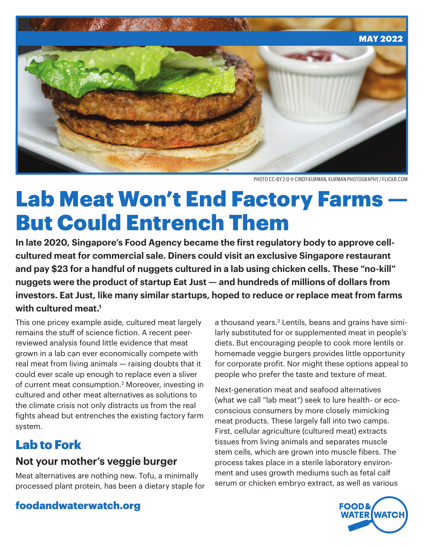

PHOTO CC-BY 2.0 © CINDY KURMAN, KURMAN PHOTOGRAPHY / FLICKR.COM

# Lab Meat Won't End Factory Farms But Could Entrench Them

**In late 2020, Singapore's Food Agency became the first regulatory body to approve cellcultured meat for commercial sale. Diners could visit an exclusive Singapore restaurant and pay \$23 for a handful of nuggets cultured in a lab using chicken cells. These "no-kill" nuggets were the product of startup Eat Just — and hundreds of millions of dollars from investors. Eat Just, like many similar startups, hoped to reduce or replace meat from farms with cultured meat.1**

This one pricey example aside, cultured meat largely remains the stuff of science fiction. A recent peerreviewed analysis found little evidence that meat grown in a lab can ever economically compete with real meat from living animals — raising doubts that it could ever scale up enough to replace even a sliver of current meat consumption.<sup>2</sup> Moreover, investing in cultured and other meat alternatives as solutions to the climate crisis not only distracts us from the real fights ahead but entrenches the existing factory farm system.

## Lab to Fork

#### **Not your mother's veggie burger**

Meat alternatives are nothing new. Tofu, a minimally processed plant protein, has been a dietary staple for a thousand years.<sup>3</sup> Lentils, beans and grains have similarly substituted for or supplemented meat in people's diets. But encouraging people to cook more lentils or homemade veggie burgers provides little opportunity for corporate profit. Nor might these options appeal to people who prefer the taste and texture of meat.

Next-generation meat and seafood alternatives (what we call "lab meat") seek to lure health- or ecoconscious consumers by more closely mimicking meat products. These largely fall into two camps. First, cellular agriculture (cultured meat) extracts tissues from living animals and separates muscle stem cells, which are grown into muscle fibers. The process takes place in a sterile laboratory environment and uses growth mediums such as fetal calf serum or chicken embryo extract, as well as various



#### foodandwaterwatch.org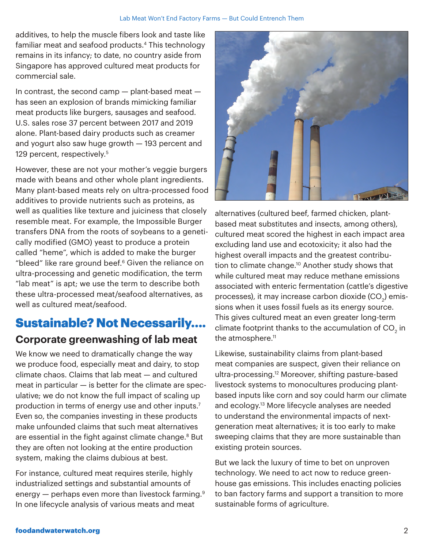additives, to help the muscle fibers look and taste like familiar meat and seafood products.<sup>4</sup> This technology remains in its infancy; to date, no country aside from Singapore has approved cultured meat products for commercial sale.

In contrast, the second camp — plant-based meat has seen an explosion of brands mimicking familiar meat products like burgers, sausages and seafood. U.S. sales rose 37 percent between 2017 and 2019 alone. Plant-based dairy products such as creamer and yogurt also saw huge growth — 193 percent and 129 percent, respectively.<sup>5</sup>

However, these are not your mother's veggie burgers made with beans and other whole plant ingredients. Many plant-based meats rely on ultra-processed food additives to provide nutrients such as proteins, as well as qualities like texture and juiciness that closely resemble meat. For example, the Impossible Burger transfers DNA from the roots of soybeans to a genetically modified (GMO) yeast to produce a protein called "heme", which is added to make the burger "bleed" like rare ground beef.<sup>6</sup> Given the reliance on ultra-processing and genetic modification, the term "lab meat" is apt; we use the term to describe both these ultra-processed meat/seafood alternatives, as well as cultured meat/seafood.

## Sustainable? Not Necessarily…. **Corporate greenwashing of lab meat**

We know we need to dramatically change the way we produce food, especially meat and dairy, to stop climate chaos. Claims that lab meat — and cultured meat in particular — is better for the climate are speculative; we do not know the full impact of scaling up production in terms of energy use and other inputs.7 Even so, the companies investing in these products make unfounded claims that such meat alternatives are essential in the fight against climate change.<sup>8</sup> But they are often not looking at the entire production system, making the claims dubious at best.

For instance, cultured meat requires sterile, highly industrialized settings and substantial amounts of energy  $-$  perhaps even more than livestock farming.<sup>9</sup> In one lifecycle analysis of various meats and meat



alternatives (cultured beef, farmed chicken, plantbased meat substitutes and insects, among others), cultured meat scored the highest in each impact area excluding land use and ecotoxicity; it also had the highest overall impacts and the greatest contribution to climate change.<sup>10</sup> Another study shows that while cultured meat may reduce methane emissions associated with enteric fermentation (cattle's digestive processes), it may increase carbon dioxide (CO $_{\textrm{\tiny{2}}})$  emissions when it uses fossil fuels as its energy source. This gives cultured meat an even greater long-term climate footprint thanks to the accumulation of CO $_{\textrm{\tiny{2}}}$  in the atmosphere.<sup>11</sup>

Likewise, sustainability claims from plant-based meat companies are suspect, given their reliance on ultra-processing.12 Moreover, shifting pasture-based livestock systems to monocultures producing plantbased inputs like corn and soy could harm our climate and ecology.13 More lifecycle analyses are needed to understand the environmental impacts of nextgeneration meat alternatives; it is too early to make sweeping claims that they are more sustainable than existing protein sources.

But we lack the luxury of time to bet on unproven technology. We need to act now to reduce greenhouse gas emissions. This includes enacting policies to ban factory farms and support a transition to more sustainable forms of agriculture.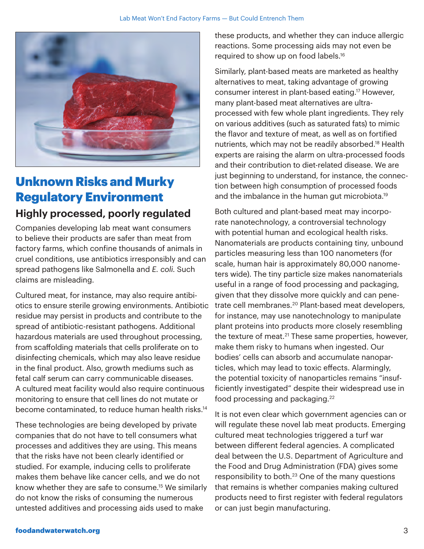

## Unknown Risks and Murky Regulatory Environment

#### **Highly processed, poorly regulated**

Companies developing lab meat want consumers to believe their products are safer than meat from factory farms, which confine thousands of animals in cruel conditions, use antibiotics irresponsibly and can spread pathogens like Salmonella and *E. coli*. Such claims are misleading.

Cultured meat, for instance, may also require antibiotics to ensure sterile growing environments. Antibiotic residue may persist in products and contribute to the spread of antibiotic-resistant pathogens. Additional hazardous materials are used throughout processing, from scaffolding materials that cells proliferate on to disinfecting chemicals, which may also leave residue in the final product. Also, growth mediums such as fetal calf serum can carry communicable diseases. A cultured meat facility would also require continuous monitoring to ensure that cell lines do not mutate or become contaminated, to reduce human health risks.<sup>14</sup>

These technologies are being developed by private companies that do not have to tell consumers what processes and additives they are using. This means that the risks have not been clearly identified or studied. For example, inducing cells to proliferate makes them behave like cancer cells, and we do not know whether they are safe to consume.15 We similarly do not know the risks of consuming the numerous untested additives and processing aids used to make

these products, and whether they can induce allergic reactions. Some processing aids may not even be required to show up on food labels.16

Similarly, plant-based meats are marketed as healthy alternatives to meat, taking advantage of growing consumer interest in plant-based eating.17 However, many plant-based meat alternatives are ultraprocessed with few whole plant ingredients. They rely on various additives (such as saturated fats) to mimic the flavor and texture of meat, as well as on fortified nutrients, which may not be readily absorbed.18 Health experts are raising the alarm on ultra-processed foods and their contribution to diet-related disease. We are just beginning to understand, for instance, the connection between high consumption of processed foods and the imbalance in the human gut microbiota.19

Both cultured and plant-based meat may incorporate nanotechnology, a controversial technology with potential human and ecological health risks. Nanomaterials are products containing tiny, unbound particles measuring less than 100 nanometers (for scale, human hair is approximately 80,000 nanometers wide). The tiny particle size makes nanomaterials useful in a range of food processing and packaging, given that they dissolve more quickly and can penetrate cell membranes.<sup>20</sup> Plant-based meat developers, for instance, may use nanotechnology to manipulate plant proteins into products more closely resembling the texture of meat.<sup>21</sup> These same properties, however, make them risky to humans when ingested. Our bodies' cells can absorb and accumulate nanoparticles, which may lead to toxic effects. Alarmingly, the potential toxicity of nanoparticles remains "insufficiently investigated" despite their widespread use in food processing and packaging.<sup>22</sup>

It is not even clear which government agencies can or will regulate these novel lab meat products. Emerging cultured meat technologies triggered a turf war between different federal agencies. A complicated deal between the U.S. Department of Agriculture and the Food and Drug Administration (FDA) gives some responsibility to both.23 One of the many questions that remains is whether companies making cultured products need to first register with federal regulators or can just begin manufacturing.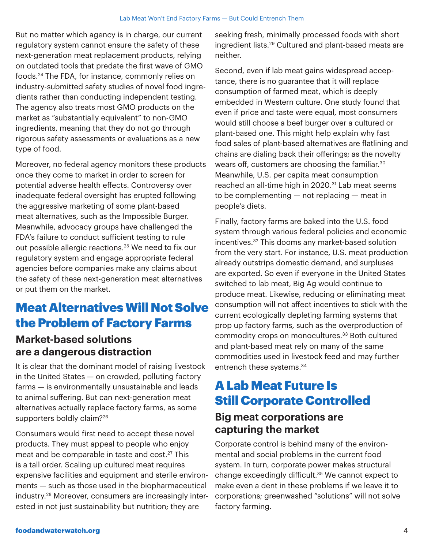But no matter which agency is in charge, our current regulatory system cannot ensure the safety of these next-generation meat replacement products, relying on outdated tools that predate the first wave of GMO foods.24 The FDA, for instance, commonly relies on industry-submitted safety studies of novel food ingredients rather than conducting independent testing. The agency also treats most GMO products on the market as "substantially equivalent" to non-GMO ingredients, meaning that they do not go through rigorous safety assessments or evaluations as a new type of food.

Moreover, no federal agency monitors these products once they come to market in order to screen for potential adverse health effects. Controversy over inadequate federal oversight has erupted following the aggressive marketing of some plant-based meat alternatives, such as the Impossible Burger. Meanwhile, advocacy groups have challenged the FDA's failure to conduct sufficient testing to rule out possible allergic reactions.<sup>25</sup> We need to fix our regulatory system and engage appropriate federal agencies before companies make any claims about the safety of these next-generation meat alternatives or put them on the market.

## Meat Alternatives Will Not Solve the Problem of Factory Farms

#### **Market-based solutions are a dangerous distraction**

It is clear that the dominant model of raising livestock in the United States — on crowded, polluting factory farms — is environmentally unsustainable and leads to animal suffering. But can next-generation meat alternatives actually replace factory farms, as some supporters boldly claim?<sup>26</sup>

Consumers would first need to accept these novel products. They must appeal to people who enjoy meat and be comparable in taste and cost.<sup>27</sup> This is a tall order. Scaling up cultured meat requires expensive facilities and equipment and sterile environments — such as those used in the biopharmaceutical industry.28 Moreover, consumers are increasingly interested in not just sustainability but nutrition; they are

seeking fresh, minimally processed foods with short ingredient lists.29 Cultured and plant-based meats are neither.

Second, even if lab meat gains widespread acceptance, there is no guarantee that it will replace consumption of farmed meat, which is deeply embedded in Western culture. One study found that even if price and taste were equal, most consumers would still choose a beef burger over a cultured or plant-based one. This might help explain why fast food sales of plant-based alternatives are flatlining and chains are dialing back their offerings; as the novelty wears off, customers are choosing the familiar.30 Meanwhile, U.S. per capita meat consumption reached an all-time high in 2020.<sup>31</sup> Lab meat seems to be complementing — not replacing — meat in people's diets.

Finally, factory farms are baked into the U.S. food system through various federal policies and economic incentives.32 This dooms any market-based solution from the very start. For instance, U.S. meat production already outstrips domestic demand, and surpluses are exported. So even if everyone in the United States switched to lab meat, Big Ag would continue to produce meat. Likewise, reducing or eliminating meat consumption will not affect incentives to stick with the current ecologically depleting farming systems that prop up factory farms, such as the overproduction of commodity crops on monocultures.33 Both cultured and plant-based meat rely on many of the same commodities used in livestock feed and may further entrench these systems.<sup>34</sup>

## A Lab Meat Future Is Still Corporate Controlled

### **Big meat corporations are capturing the market**

Corporate control is behind many of the environmental and social problems in the current food system. In turn, corporate power makes structural change exceedingly difficult.35 We cannot expect to make even a dent in these problems if we leave it to corporations; greenwashed "solutions" will not solve factory farming.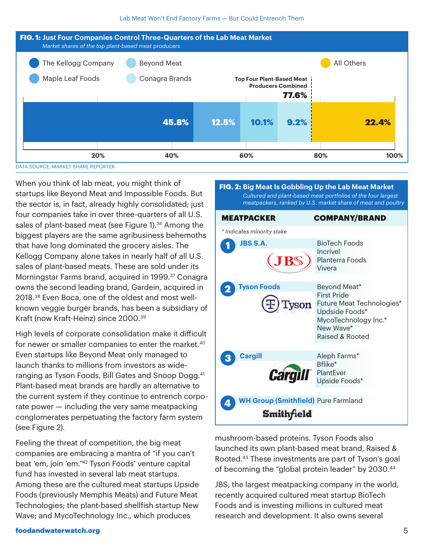

When you think of lab meat, you might think of startups like Beyond Meat and Impossible Foods. But the sector is, in fact, already highly consolidated; just four companies take in over three-quarters of all U.S. sales of plant-based meat (see Figure 1).<sup>36</sup> Among the biggest players are the same agribusiness behemoths that have long dominated the grocery aisles. The Kellogg Company alone takes in nearly half of all U.S. sales of plant-based meats. These are sold under its Morningstar Farms brand, acquired in 1999.<sup>37</sup> Conagra owns the second leading brand, Gardein, acquired in 2018.38 Even Boca, one of the oldest and most wellknown veggie burger brands, has been a subsidiary of Kraft (now Kraft-Heinz) since 2000.39

High levels of corporate consolidation make it difficult for newer or smaller companies to enter the market.<sup>40</sup> Even startups like Beyond Meat only managed to launch thanks to millions from investors as wideranging as Tyson Foods, Bill Gates and Snoop Dogg.<sup>41</sup> Plant-based meat brands are hardly an alternative to the current system if they continue to entrench corporate power — including the very same meatpacking conglomerates perpetuating the factory farm system (see Figure 2).

Feeling the threat of competition, the big meat companies are embracing a mantra of "if you can't beat 'em, join 'em."42 Tyson Foods' venture capital fund has invested in several lab meat startups. Among these are the cultured meat startups Upside Foods (previously Memphis Meats) and Future Meat Technologies; the plant-based shellfish startup New Wave; and MycoTechnology Inc., which produces



mushroom-based proteins. Tyson Foods also launched its own plant-based meat brand, Raised & Rooted.43 These investments are part of Tyson's goal of becoming the "global protein leader" by 2030.44

JBS, the largest meatpacking company in the world, recently acquired cultured meat startup BioTech Foods and is investing millions in cultured meat research and development. It also owns several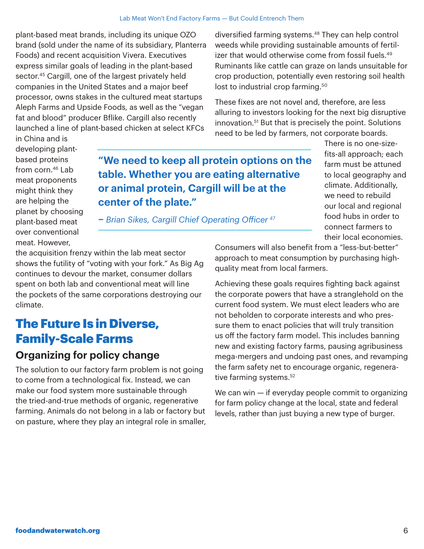plant-based meat brands, including its unique OZO brand (sold under the name of its subsidiary, Planterra Foods) and recent acquisition Vivera. Executives express similar goals of leading in the plant-based sector.<sup>45</sup> Cargill, one of the largest privately held companies in the United States and a major beef processor, owns stakes in the cultured meat startups Aleph Farms and Upside Foods, as well as the "vegan fat and blood" producer Bflike. Cargill also recently launched a line of plant-based chicken at select KFCs

diversified farming systems.48 They can help control weeds while providing sustainable amounts of fertilizer that would otherwise come from fossil fuels.<sup>49</sup> Ruminants like cattle can graze on lands unsuitable for crop production, potentially even restoring soil health lost to industrial crop farming.<sup>50</sup>

These fixes are not novel and, therefore, are less alluring to investors looking for the next big disruptive innovation.51 But that is precisely the point. Solutions need to be led by farmers, not corporate boards.

> There is no one-sizefits-all approach; each farm must be attuned to local geography and climate. Additionally, we need to rebuild our local and regional food hubs in order to connect farmers to their local economies.

in China and is developing plantbased proteins from corn.46 Lab meat proponents might think they are helping the planet by choosing plant-based meat over conventional meat. However,

**"We need to keep all protein options on the table. Whether you are eating alternative or animal protein, Cargill will be at the center of the plate."** 

**–** *Brian Sikes, Cargill Chief Operating Officer <sup>47</sup>*

the acquisition frenzy within the lab meat sector shows the futility of "voting with your fork." As Big Ag continues to devour the market, consumer dollars spent on both lab and conventional meat will line the pockets of the same corporations destroying our climate.

## The Future Is in Diverse, Family-Scale Farms

#### **Organizing for policy change**

The solution to our factory farm problem is not going to come from a technological fix. Instead, we can make our food system more sustainable through the tried-and-true methods of organic, regenerative farming. Animals do not belong in a lab or factory but on pasture, where they play an integral role in smaller, Consumers will also benefit from a "less-but-better" approach to meat consumption by purchasing highquality meat from local farmers.

Achieving these goals requires fighting back against the corporate powers that have a stranglehold on the current food system. We must elect leaders who are not beholden to corporate interests and who pressure them to enact policies that will truly transition us off the factory farm model. This includes banning new and existing factory farms, pausing agribusiness mega-mergers and undoing past ones, and revamping the farm safety net to encourage organic, regenerative farming systems.<sup>52</sup>

We can win — if everyday people commit to organizing for farm policy change at the local, state and federal levels, rather than just buying a new type of burger.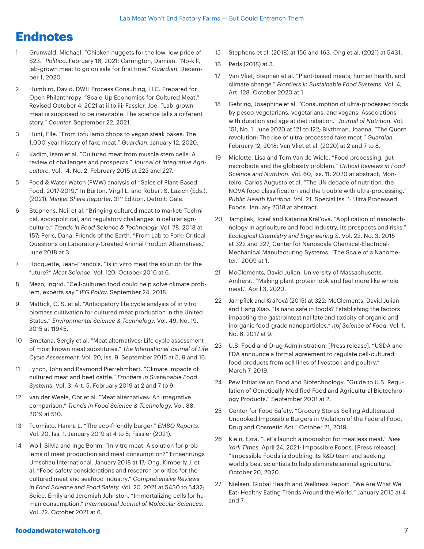## **Endnotes**

- 1 Grunwald, Michael. "Chicken nuggets for the low, low price of \$23." *Politico*. February 16, 2021; Carrington, Damian. "No-kill, lab-grown meat to go on sale for first time." *Guardian*. December 1, 2020.
- 2 Humbird, David. DWH Process Consulting, LLC. Prepared for Open Philanthropy. "Scale-Up Economics for Cultured Meat." Revised October 4, 2021 at ii to iii; Fassler, Joe. "Lab-grown meat is supposed to be inevitable. The science tells a different story." *Counter*. September 22, 2021.
- 3 Hunt, Elle. "From tofu lamb chops to vegan steak bakes: The 1,000-year history of fake meat." *Guardian*. January 12, 2020.
- 4 Kadim, Isam et al. "Cultured meat from muscle stem cells: A review of challenges and prospects." *Journal of Integrative Agriculture*. Vol. 14, No. 2. February 2015 at 223 and 227.
- 5 Food & Water Watch (FWW) analysis of "Sales of Plant-Based Food, 2017-2019." In Burton, Virgil L. and Robert S. Lazich (Eds.). (2021). *Market Share Reporter*. 31st Edition. Detroit: Gale.
- 6 Stephens, Neil et al. "Bringing cultured meat to market: Technical, sociopolitical, and regulatory challenges in cellular agriculture." *Trends in Food Science & Technology*. Vol. 78. 2018 at 157; Perls, Dana. Friends of the Earth. "From Lab to Fork: Critical Questions on Laboratory-Created Animal Product Alternatives." June 2018 at 3.
- 7 Hocquette, Jean-François. "Is in vitro meat the solution for the future?" *Meat Science*. Vol. 120. October 2016 at 6.
- 8 Mezo, Ingrid. "Cell-cultured food could help solve climate problem, experts say." *IEG Policy*. September 24, 2018.
- 9 Mattick, C. S. et al. "Anticipatory life cycle analysis of in vitro biomass cultivation for cultured meat production in the United States." *Environmental Science & Technology*. Vol. 49, No. 19. 2015 at 11945.
- 10 Smetana, Sergiy et al. "Meat alternatives: Life cycle assessment of most known meat substitutes." *The International Journal of Life Cycle Assessment*. Vol. 20, Iss. 9. September 2015 at 5, 9 and 16.
- 11 Lynch, John and Raymond Pierrehmbert. "Climate impacts of cultured meat and beef cattle." *Frontiers in Sustainable Food Systems.* Vol. 3, Art. 5. February 2019 at 2 and 7 to 9.
- 12 van der Weele, Cor et al. "Meat alternatives: An integrative comparison." *Trends in Food Science & Technology*. Vol. 88. 2019 at 510.
- 13 Tuomisto, Hanna L. "The eco-friendly burger." *EMBO Reports*. Vol. 20, Iss. 1. January 2019 at 4 to 5; Fassler (2021).
- 14 Woll, Silvia and Inge Böhm. "In-vitro meat: A solution for problems of meat production and meat consumption?" Ernaehrungs Umschau International. January 2018 at 17; Ong, Kimberly J. et al. "Food safety considerations and research priorities for the cultured meat and seafood industry." *Comprehensive Reviews in Food Science and Food Safety*. Vol. 20. 2021 at 5430 to 5432; Soice, Emily and Jeremiah Johnston. "Immortalizing cells for human consumption." *International Journal of Molecular Sciences*. Vol. 22. October 2021 at 6.
- 15 Stephens et al. (2018) at 156 and 163. Ong et al. (2021) at 5431.
- 16 Perls (2018) at 3.
- 17 Van Vliet, Stephan et al. "Plant-based meats, human health, and climate change." *Frontiers in Sustainable Food Systems*. Vol. 4, Art. 128. October 2020 at 1.
- 18 Gehring, Joséphine et al. "Consumption of ultra-processed foods by pesco-vegetarians, vegetarians, and vegans: Associations with duration and age at diet initiation." *Journal of Nutrition*. Vol. 151, No. 1. June 2020 at 121 to 122; Blythman, Joanna. "The Quorn revolution: The rise of ultra-processed fake meat." *Guardian*. February 12, 2018; Van Vliet et al. (2020) at 2 and 7 to 8.
- 19 Miclotte, Lisa and Tom Van de Wiele. "Food processing, gut microbiota and the globesity problem." *Critical Reviews in Food Science and Nutrition*. Vol. 60, Iss. 11. 2020 at abstract; Monteiro, Carlos Augusto et al. "The UN decade of nutrition, the NOVA food classification and the trouble with ultra-processing." *Public Health Nutrition*. Vol. 21, Special Iss. 1: Ultra Processed Foods. January 2018 at abstract.
- 20 Jampílek, Josef and Katarína Král'ová. "Application of nanotechnology in agriculture and food industry, its prospects and risks." *Ecological Chemistry and Engineering S*. Vol. 22, No. 3. 2015 at 322 and 327; Center for Nanoscale Chemical-Electrical-Mechanical Manufacturing Systems. "The Scale of a Nanometer." 2009 at 1.
- 21 McClements, David Julian. University of Massachusetts, Amherst. "Making plant protein look and feel more like whole meat." April 3, 2020.
- 22 Jampílek and Král'ová (2015) at 322; McClements, David Julian and Hang Xiao. "Is nano safe in foods? Establishing the factors impacting the gastrointestinal fate and toxicity of organic and inorganic food-grade nanoparticles." *npj Science of Food*. Vol. 1, No. 6. 2017 at 9.
- 23 U.S. Food and Drug Administration. [Press release]. "USDA and FDA announce a formal agreement to regulate cell-cultured food products from cell lines of livestock and poultry." March 7, 2019.
- 24 Pew Initiative on Food and Biotechnology. "Guide to U.S. Regulation of Genetically Modified Food and Agricultural Biotechnology Products." September 2001 at 2.
- 25 Center for Food Safety. "Grocery Stores Selling Adulterated Uncooked Impossible Burgers in Violation of the Federal Food, Drug and Cosmetic Act." October 21, 2019.
- 26 Klein, Ezra. "Let's launch a moonshot for meatless meat." *New York Times*. April 24, 2021; Impossible Foods. [Press release]. "Impossible Foods is doubling its R&D team and seeking world's best scientists to help eliminate animal agriculture." October 20, 2020.
- 27 Nielsen. Global Health and Wellness Report. "We Are What We Eat: Healthy Eating Trends Around the World." January 2015 at 4 and 7.

#### foodandwaterwatch.org 7